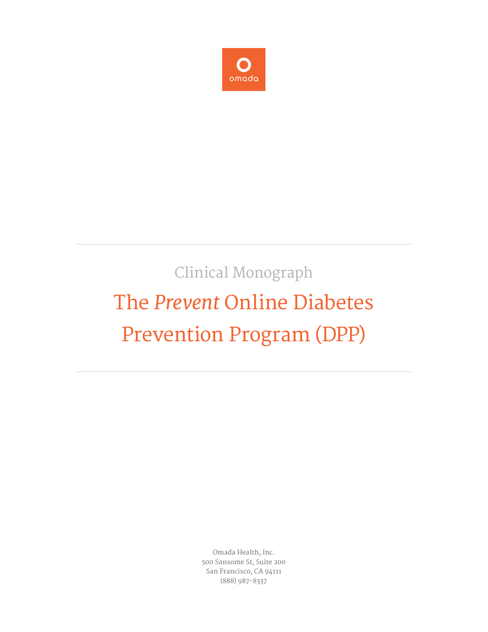

# Clinical Monograph The *Prevent* Online Diabetes Prevention Program (DPP)

Omada Health, Inc. 500 Sansome St, Suite 200 San Francisco, CA 94111 (888) 987-8337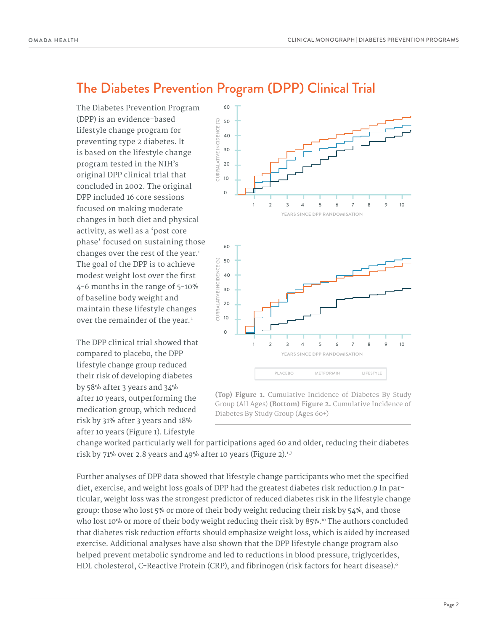#### The Diabetes Prevention Program (DPP) Clinical Trial

The Diabetes Prevention Program (DPP) is an evidence-based lifestyle change program for preventing type 2 diabetes. It is based on the lifestyle change program tested in the NIH's original DPP clinical trial that concluded in 2002. The original DPP included 16 core sessions focused on making moderate changes in both diet and physical activity, as well as a 'post core phase' focused on sustaining those changes over the rest of the year.<sup>1</sup> The goal of the DPP is to achieve modest weight lost over the first 4-6 months in the range of 5-10% of baseline body weight and maintain these lifestyle changes over the remainder of the year.<sup>2</sup>

The DPP clinical trial showed that compared to placebo, the DPP lifestyle change group reduced their risk of developing diabetes by 58% after 3 years and 34% after 10 years, outperforming the medication group, which reduced risk by 31% after 3 years and 18% after 10 years (Figure 1). Lifestyle



**(Top) Figure 1.** Cumulative Incidence of Diabetes By Study Group (All Ages) **(Bottom) Figure 2.** Cumulative Incidence of Diabetes By Study Group (Ages 60+)

change worked particularly well for participations aged 60 and older, reducing their diabetes risk by 71% over 2.8 years and 49% after 10 years (Figure 2). $1,7$ 

Further analyses of DPP data showed that lifestyle change participants who met the specified diet, exercise, and weight loss goals of DPP had the greatest diabetes risk reduction.9 In particular, weight loss was the strongest predictor of reduced diabetes risk in the lifestyle change group: those who lost 5% or more of their body weight reducing their risk by 54%, and those who lost 10% or more of their body weight reducing their risk by 85%.<sup>10</sup> The authors concluded that diabetes risk reduction efforts should emphasize weight loss, which is aided by increased exercise. Additional analyses have also shown that the DPP lifestyle change program also helped prevent metabolic syndrome and led to reductions in blood pressure, triglycerides, HDL cholesterol, C-Reactive Protein (CRP), and fibrinogen (risk factors for heart disease).<sup>6</sup>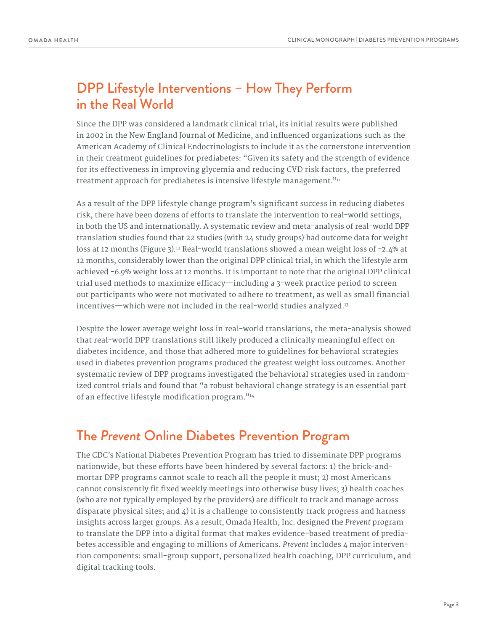## DPP Lifestyle Interventions – How They Perform in the Real World

Since the DPP was considered a landmark clinical trial, its initial results were published in 2002 in the New England Journal of Medicine, and influenced organizations such as the American Academy of Clinical Endocrinologists to include it as the cornerstone intervention in their treatment guidelines for prediabetes: "Given its safety and the strength of evidence for its effectiveness in improving glycemia and reducing CVD risk factors, the preferred treatment approach for prediabetes is intensive lifestyle management."<sup>11</sup>

As a result of the DPP lifestyle change program's significant success in reducing diabetes risk, there have been dozens of efforts to translate the intervention to real-world settings, in both the US and internationally. A systematic review and meta-analysis of real-world DPP translation studies found that 22 studies (with 24 study groups) had outcome data for weight loss at 12 months (Figure 3).<sup>12</sup> Real-world translations showed a mean weight loss of -2.4% at 12 months, considerably lower than the original DPP clinical trial, in which the lifestyle arm achieved -6.9% weight loss at 12 months. It is important to note that the original DPP clinical trial used methods to maximize efficacy—including a 3-week practice period to screen out participants who were not motivated to adhere to treatment, as well as small financial incentives—which were not included in the real-world studies analyzed.<sup>13</sup>

Despite the lower average weight loss in real-world translations, the meta-analysis showed that real-world DPP translations still likely produced a clinically meaningful effect on diabetes incidence, and those that adhered more to guidelines for behavioral strategies used in diabetes prevention programs produced the greatest weight loss outcomes. Another systematic review of DPP programs investigated the behavioral strategies used in randomized control trials and found that "a robust behavioral change strategy is an essential part of an effective lifestyle modification program."<sup>14</sup>

### The *Prevent* Online Diabetes Prevention Program

The CDC's National Diabetes Prevention Program has tried to disseminate DPP programs nationwide, but these efforts have been hindered by several factors: 1) the brick-andmortar DPP programs cannot scale to reach all the people it must; 2) most Americans cannot consistently fit fixed weekly meetings into otherwise busy lives; 3) health coaches (who are not typically employed by the providers) are difficult to track and manage across disparate physical sites; and  $\Delta$ ) it is a challenge to consistently track progress and harness insights across larger groups. As a result, Omada Health, Inc. designed the *Prevent* program to translate the DPP into a digital format that makes evidence-based treatment of prediabetes accessible and engaging to millions of Americans. *Prevent* includes 4 major intervention components: small-group support, personalized health coaching, DPP curriculum, and digital tracking tools.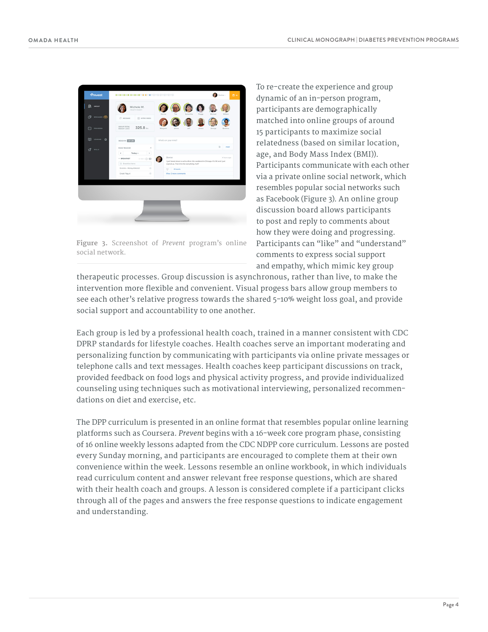| 83 GROUP               | Michele M.                                             |                                                                                        |                    |
|------------------------|--------------------------------------------------------|----------------------------------------------------------------------------------------|--------------------|
|                        | HEALTH COACH                                           | Denise<br>Tim<br>Samantha<br>Peggy                                                     | Michael<br>William |
| <b>MISSAGE CO</b><br>Θ | C MESSAGE<br>F INTRO VIDEO                             |                                                                                        |                    |
| PROGRESS               | <b>GROUP TOTAL</b><br>$325.8 -$<br>WEIGHT LOSS         | Margaret<br>Lillian<br>30 <sup>4</sup><br>James                                        | George<br>Beatrice |
| m<br>LESSONS <b>O</b>  | <b>WEIGH IN 220105.</b>                                | What's on your mind?                                                                   |                    |
| ₫<br><b>SKILLS</b>     | FOOD TRACKER<br>$\hat{\phantom{a}}$                    |                                                                                        | ٥<br>POST          |
|                        | $\epsilon$<br>Today v<br>$\,$                          |                                                                                        |                    |
|                        | $-$ BREAKFAST<br>$\longrightarrow$ 00                  | Denise<br>I just heard about a walk-a-thon this weekend in Chicago. It's SK and I just | 4 hours ago        |
|                        | @ Breakfast hems<br>Granola - Honey Almond<br>$^{(i)}$ | signed up. First time for everything, huh?<br>$\circ$<br>4 hearts                      |                    |
|                        | $\circledcirc$<br>Greek Yogurt                         | View 2 more comments                                                                   |                    |
|                        |                                                        |                                                                                        |                    |
|                        |                                                        |                                                                                        |                    |
|                        |                                                        |                                                                                        |                    |
|                        |                                                        |                                                                                        |                    |
|                        |                                                        |                                                                                        |                    |

**Figure 3.** Screenshot of *Prevent* program's online social network.

To re-create the experience and group dynamic of an in-person program, participants are demographically matched into online groups of around 15 participants to maximize social relatedness (based on similar location, age, and Body Mass Index (BMI)). Participants communicate with each other via a private online social network, which resembles popular social networks such as Facebook (Figure 3). An online group discussion board allows participants to post and reply to comments about how they were doing and progressing. Participants can "like" and "understand" comments to express social support and empathy, which mimic key group

therapeutic processes. Group discussion is asynchronous, rather than live, to make the intervention more flexible and convenient. Visual progess bars allow group members to see each other's relative progress towards the shared 5-10% weight loss goal, and provide social support and accountability to one another.

Each group is led by a professional health coach, trained in a manner consistent with CDC DPRP standards for lifestyle coaches. Health coaches serve an important moderating and personalizing function by communicating with participants via online private messages or telephone calls and text messages. Health coaches keep participant discussions on track, provided feedback on food logs and physical activity progress, and provide individualized counseling using techniques such as motivational interviewing, personalized recommendations on diet and exercise, etc.

The DPP curriculum is presented in an online format that resembles popular online learning platforms such as Coursera. *Prevent* begins with a 16-week core program phase, consisting of 16 online weekly lessons adapted from the CDC NDPP core curriculum. Lessons are posted every Sunday morning, and participants are encouraged to complete them at their own convenience within the week. Lessons resemble an online workbook, in which individuals read curriculum content and answer relevant free response questions, which are shared with their health coach and groups. A lesson is considered complete if a participant clicks through all of the pages and answers the free response questions to indicate engagement and understanding.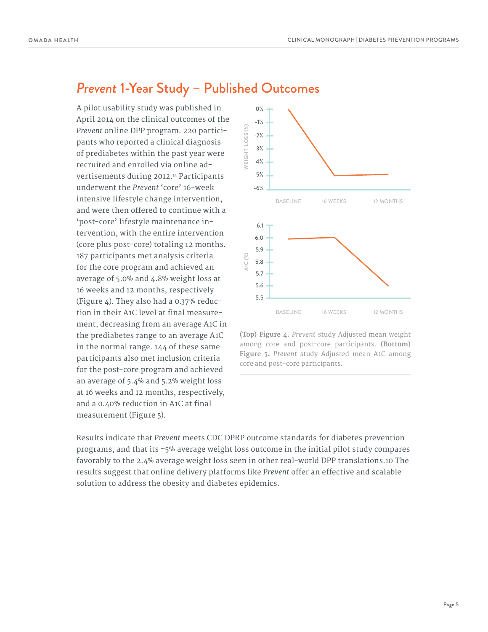## *Prevent* 1-Year Study – Published Outcomes

A pilot usability study was published in April 2014 on the clinical outcomes of the *Prevent* online DPP program. 220 participants who reported a clinical diagnosis of prediabetes within the past year were recruited and enrolled via online advertisements during 2012.<sup>15</sup> Participants underwent the *Prevent* 'core' 16-week intensive lifestyle change intervention, and were then offered to continue with a 'post-core' lifestyle maintenance intervention, with the entire intervention (core plus post-core) totaling 12 months. 187 participants met analysis criteria for the core program and achieved an average of 5.0% and 4.8% weight loss at 16 weeks and 12 months, respectively (Figure 4). They also had a 0.37% reduction in their A1C level at final measurement, decreasing from an average A1C in the prediabetes range to an average A1C in the normal range. 144 of these same participants also met inclusion criteria for the post-core program and achieved an average of 5.4% and 5.2% weight loss at 16 weeks and 12 months, respectively, and a 0.40% reduction in A1C at final measurement (Figure 5).



**(Top) Figure 4.** *Prevent* study Adjusted mean weight among core and post-core participants. **(Bottom) Figure 5.** *Prevent* study Adjusted mean A1C among core and post-core participants.

Results indicate that *Prevent* meets CDC DPRP outcome standards for diabetes prevention programs, and that its ~5% average weight loss outcome in the initial pilot study compares favorably to the 2.4% average weight loss seen in other real-world DPP translations.10 The results suggest that online delivery platforms like *Prevent* offer an effective and scalable solution to address the obesity and diabetes epidemics.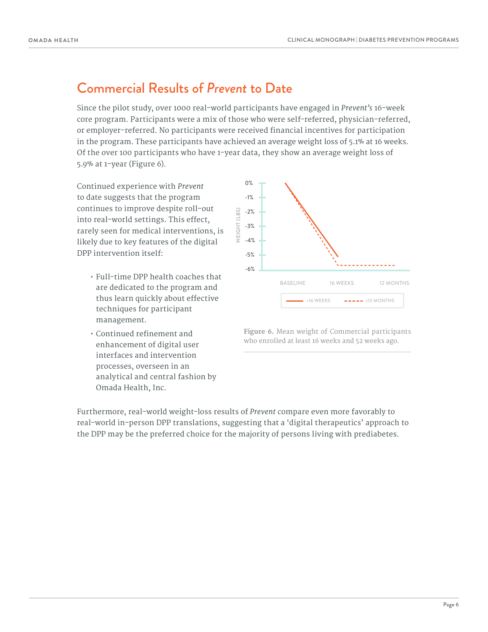#### Commercial Results of *Prevent* to Date

Since the pilot study, over 1000 real-world participants have engaged in *Prevent's* 16-week core program. Participants were a mix of those who were self-referred, physician-referred, or employer-referred. No participants were received financial incentives for participation in the program. These participants have achieved an average weight loss of 5.1% at 16 weeks. Of the over 100 participants who have 1-year data, they show an average weight loss of 5.9% at 1-year (Figure 6).

Continued experience with *Prevent* to date suggests that the program continues to improve despite roll-out into real-world settings. This effect, rarely seen for medical interventions, is likely due to key features of the digital DPP intervention itself:

- Full-time DPP health coaches that are dedicated to the program and thus learn quickly about effective techniques for participant management.
- $\cdot$  Continued refinement and enhancement of digital user interfaces and intervention processes, overseen in an analytical and central fashion by Omada Health, Inc.



**Figure 6.** Mean weight of Commercial participants who enrolled at least 16 weeks and 52 weeks ago.

Furthermore, real-world weight-loss results of *Prevent* compare even more favorably to real-world in-person DPP translations, suggesting that a 'digital therapeutics' approach to the DPP may be the preferred choice for the majority of persons living with prediabetes.